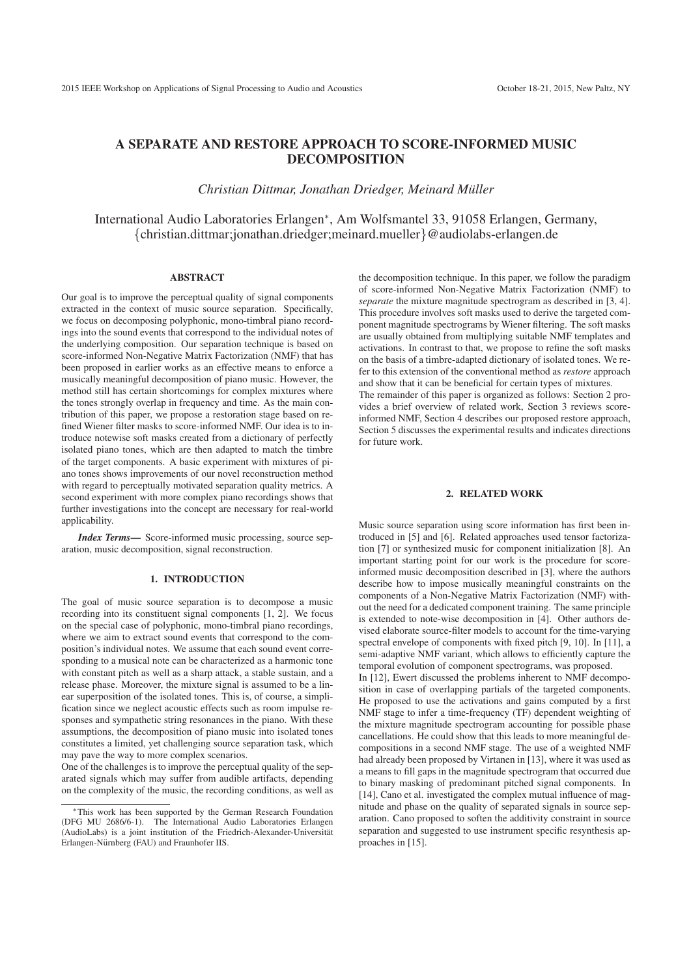# A SEPARATE AND RESTORE APPROACH TO SCORE-INFORMED MUSIC DECOMPOSITION

*Christian Dittmar, Jonathan Driedger, Meinard Muller ¨*

International Audio Laboratories Erlangen∗, Am Wolfsmantel 33, 91058 Erlangen, Germany, {christian.dittmar;jonathan.driedger;meinard.mueller}@audiolabs-erlangen.de

# ABSTRACT

Our goal is to improve the perceptual quality of signal components extracted in the context of music source separation. Specifically, we focus on decomposing polyphonic, mono-timbral piano recordings into the sound events that correspond to the individual notes of the underlying composition. Our separation technique is based on score-informed Non-Negative Matrix Factorization (NMF) that has been proposed in earlier works as an effective means to enforce a musically meaningful decomposition of piano music. However, the method still has certain shortcomings for complex mixtures where the tones strongly overlap in frequency and time. As the main contribution of this paper, we propose a restoration stage based on refined Wiener filter masks to score-informed NMF. Our idea is to introduce notewise soft masks created from a dictionary of perfectly isolated piano tones, which are then adapted to match the timbre of the target components. A basic experiment with mixtures of piano tones shows improvements of our novel reconstruction method with regard to perceptually motivated separation quality metrics. A second experiment with more complex piano recordings shows that further investigations into the concept are necessary for real-world applicability.

*Index Terms*— Score-informed music processing, source separation, music decomposition, signal reconstruction.

# 1. INTRODUCTION

The goal of music source separation is to decompose a music recording into its constituent signal components [1, 2]. We focus on the special case of polyphonic, mono-timbral piano recordings, where we aim to extract sound events that correspond to the composition's individual notes. We assume that each sound event corresponding to a musical note can be characterized as a harmonic tone with constant pitch as well as a sharp attack, a stable sustain, and a release phase. Moreover, the mixture signal is assumed to be a linear superposition of the isolated tones. This is, of course, a simplification since we neglect acoustic effects such as room impulse responses and sympathetic string resonances in the piano. With these assumptions, the decomposition of piano music into isolated tones constitutes a limited, yet challenging source separation task, which may pave the way to more complex scenarios.

One of the challenges is to improve the perceptual quality of the separated signals which may suffer from audible artifacts, depending on the complexity of the music, the recording conditions, as well as

the decomposition technique. In this paper, we follow the paradigm of score-informed Non-Negative Matrix Factorization (NMF) to *separate* the mixture magnitude spectrogram as described in [3, 4]. This procedure involves soft masks used to derive the targeted component magnitude spectrograms by Wiener filtering. The soft masks are usually obtained from multiplying suitable NMF templates and activations. In contrast to that, we propose to refine the soft masks on the basis of a timbre-adapted dictionary of isolated tones. We refer to this extension of the conventional method as *restore* approach and show that it can be beneficial for certain types of mixtures. The remainder of this paper is organized as follows: Section 2 provides a brief overview of related work, Section 3 reviews score-

informed NMF, Section 4 describes our proposed restore approach, Section 5 discusses the experimental results and indicates directions for future work.

# 2. RELATED WORK

Music source separation using score information has first been introduced in [5] and [6]. Related approaches used tensor factorization [7] or synthesized music for component initialization [8]. An important starting point for our work is the procedure for scoreinformed music decomposition described in [3], where the authors describe how to impose musically meaningful constraints on the components of a Non-Negative Matrix Factorization (NMF) without the need for a dedicated component training. The same principle is extended to note-wise decomposition in [4]. Other authors devised elaborate source-filter models to account for the time-varying spectral envelope of components with fixed pitch [9, 10]. In [11], a semi-adaptive NMF variant, which allows to efficiently capture the temporal evolution of component spectrograms, was proposed.

In [12], Ewert discussed the problems inherent to NMF decomposition in case of overlapping partials of the targeted components. He proposed to use the activations and gains computed by a first NMF stage to infer a time-frequency (TF) dependent weighting of the mixture magnitude spectrogram accounting for possible phase cancellations. He could show that this leads to more meaningful decompositions in a second NMF stage. The use of a weighted NMF had already been proposed by Virtanen in [13], where it was used as a means to fill gaps in the magnitude spectrogram that occurred due to binary masking of predominant pitched signal components. In [14], Cano et al. investigated the complex mutual influence of magnitude and phase on the quality of separated signals in source separation. Cano proposed to soften the additivity constraint in source separation and suggested to use instrument specific resynthesis approaches in [15].

<sup>∗</sup>This work has been supported by the German Research Foundation (DFG MU 2686/6-1). The International Audio Laboratories Erlangen (AudioLabs) is a joint institution of the Friedrich-Alexander-Universitat¨ Erlangen-Nürnberg (FAU) and Fraunhofer IIS.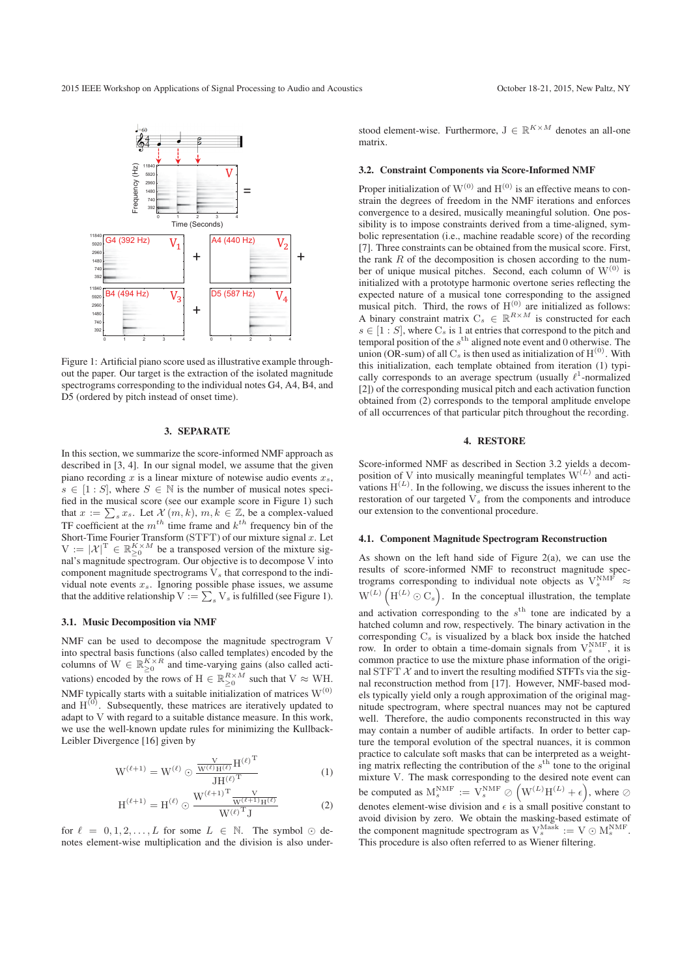2015 IEEE Workshop on Applications of Signal Processing to Audio and Acoustics October 18-21, 2015, New Paltz, NY



Figure 1: Artificial piano score used as illustrative example throughout the paper. Our target is the extraction of the isolated magnitude spectrograms corresponding to the individual notes G4, A4, B4, and D5 (ordered by pitch instead of onset time).

### 3. SEPARATE

In this section, we summarize the score-informed NMF approach as described in [3, 4]. In our signal model, we assume that the given piano recording x is a linear mixture of notewise audio events  $x_s$ ,  $s \in [1 : S]$ , where  $S \in \mathbb{N}$  is the number of musical notes specified in the musical score (see our example score in Figure 1) such that  $x := \sum_{s} x_s$ . Let  $\mathcal{X}(m, k)$ ,  $m, k \in \mathbb{Z}$ , be a complex-valued TF coefficient at the  $m^{th}$  time frame and  $k^{th}$  frequency bin of the Short-Time Fourier Transform (STFT) of our mixture signal  $x$ . Let  $V := |\mathcal{X}|^T \in \mathbb{R}_{\geq 0}^{K \times M}$  be a transposed version of the mixture signal's magnitude spectrogram. Our objective is to decompose V into component magnitude spectrograms  $V_s$  that correspond to the individual note events  $x_s$ . Ignoring possible phase issues, we assume that the additive relationship  $V := \sum_{s} V_s$  is fulfilled (see Figure 1).

## 3.1. Music Decomposition via NMF

NMF can be used to decompose the magnitude spectrogram V into spectral basis functions (also called templates) encoded by the columns of  $W \in \mathbb{R}_{\geq 0}^{K \times R}$  and time-varying gains (also called activations) encoded by the rows of H  $\in \mathbb{R}_{\geq 0}^{R \times M}$  such that  $V \approx WH$ . NMF typically starts with a suitable initialization of matrices  $W^{(0)}$ and  $H^{(0)}$ . Subsequently, these matrices are iteratively updated to adapt to V with regard to a suitable distance measure. In this work, we use the well-known update rules for minimizing the Kullback-Leibler Divergence [16] given by

$$
W^{(\ell+1)} = W^{(\ell)} \odot \frac{\frac{V}{W^{(\ell)}H^{(\ell)}}{H^{(\ell)}}^{H^{(\ell)}}^{T}}{JH^{(\ell)}}^{T}
$$
(1)

$$
H^{(\ell+1)} = H^{(\ell)} \odot \frac{W^{(\ell+1)T} \frac{V}{W^{(\ell+1)} H^{(\ell)}}}{W^{(\ell)T} J}
$$
(2)

for  $\ell = 0, 1, 2, \ldots, L$  for some  $L \in \mathbb{N}$ . The symbol  $\odot$  denotes element-wise multiplication and the division is also understood element-wise. Furthermore,  $J \in \mathbb{R}^{K \times M}$  denotes an all-one matrix.

#### 3.2. Constraint Components via Score-Informed NMF

Proper initialization of  $W^{(0)}$  and  $H^{(0)}$  is an effective means to constrain the degrees of freedom in the NMF iterations and enforces convergence to a desired, musically meaningful solution. One possibility is to impose constraints derived from a time-aligned, symbolic representation (i.e., machine readable score) of the recording [7]. Three constraints can be obtained from the musical score. First, the rank  $R$  of the decomposition is chosen according to the number of unique musical pitches. Second, each column of  $W^{(0)}$  is initialized with a prototype harmonic overtone series reflecting the expected nature of a musical tone corresponding to the assigned musical pitch. Third, the rows of  $H^{(0)}$  are initialized as follows: A binary constraint matrix  $C_s \in \mathbb{R}^{R \times M}$  is constructed for each  $s \in [1 : S]$ , where  $C_s$  is 1 at entries that correspond to the pitch and temporal position of the  $s<sup>th</sup>$  aligned note event and 0 otherwise. The union (OR-sum) of all  $C_s$  is then used as initialization of  $H^{(0)}$ . With this initialization, each template obtained from iteration (1) typically corresponds to an average spectrum (usually  $\ell^1$ -normalized [2]) of the corresponding musical pitch and each activation function obtained from (2) corresponds to the temporal amplitude envelope of all occurrences of that particular pitch throughout the recording.

# 4. RESTORE

Score-informed NMF as described in Section 3.2 yields a decomposition of V into musically meaningful templates  $W^{(L)}$  and activations  $H^{(L)}$ . In the following, we discuss the issues inherent to the restoration of our targeted  $V_s$  from the components and introduce our extension to the conventional procedure.

#### 4.1. Component Magnitude Spectrogram Reconstruction

As shown on the left hand side of Figure  $2(a)$ , we can use the results of score-informed NMF to reconstruct magnitude spectrograms corresponding to individual note objects as  $V_s^{NMF} \approx$  $W^{(L)}\left(H^{(L)}\odot C_s\right)$ . In the conceptual illustration, the template and activation corresponding to the  $s<sup>th</sup>$  tone are indicated by a hatched column and row, respectively. The binary activation in the corresponding  $C_s$  is visualized by a black box inside the hatched row. In order to obtain a time-domain signals from  $V_s^{NMF}$ , it is common practice to use the mixture phase information of the original STFT  $\chi$  and to invert the resulting modified STFTs via the signal reconstruction method from [17]. However, NMF-based models typically yield only a rough approximation of the original magnitude spectrogram, where spectral nuances may not be captured well. Therefore, the audio components reconstructed in this way may contain a number of audible artifacts. In order to better capture the temporal evolution of the spectral nuances, it is common practice to calculate soft masks that can be interpreted as a weighting matrix reflecting the contribution of the  $s<sup>th</sup>$  tone to the original mixture V. The mask corresponding to the desired note event can be computed as  $M_s^{\text{NMF}} := V_s^{\text{NMF}} \oslash \left( \text{W}^{(L)} \text{H}^{(L)} + \epsilon \right)$ , where  $\oslash$ denotes element-wise division and  $\epsilon$  is a small positive constant to avoid division by zero. We obtain the masking-based estimate of the component magnitude spectrogram as  $V_s^{\text{Mask}} := V \odot M_s^{\text{NMF}}$ . This procedure is also often referred to as Wiener filtering.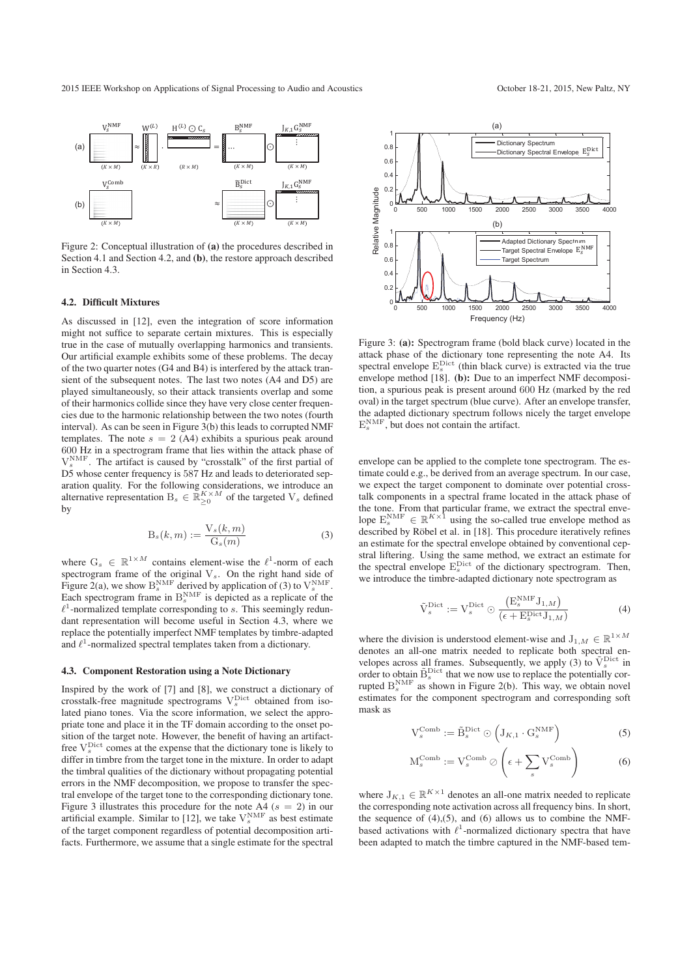

Figure 2: Conceptual illustration of (a) the procedures described in Section 4.1 and Section 4.2, and (b), the restore approach described in Section 4.3.

# 4.2. Difficult Mixtures

As discussed in [12], even the integration of score information might not suffice to separate certain mixtures. This is especially true in the case of mutually overlapping harmonics and transients. Our artificial example exhibits some of these problems. The decay of the two quarter notes (G4 and B4) is interfered by the attack transient of the subsequent notes. The last two notes (A4 and D5) are played simultaneously, so their attack transients overlap and some of their harmonics collide since they have very close center frequencies due to the harmonic relationship between the two notes (fourth interval). As can be seen in Figure  $3(b)$  this leads to corrupted NMF templates. The note  $s = 2$  (A4) exhibits a spurious peak around 600 Hz in a spectrogram frame that lies within the attack phase of  $V_s^{\text{NMF}}$ . The artifact is caused by "crosstalk" of the first partial of D5 whose center frequency is 587 Hz and leads to deteriorated separation quality. For the following considerations, we introduce an alternative representation  $B_s \in \mathbb{R}_{\geq 0}^{K \times M}$  of the targeted  $V_s$  defined by

$$
\mathcal{B}_s(k,m) := \frac{\mathcal{V}_s(k,m)}{\mathcal{G}_s(m)}\tag{3}
$$

where  $G_s \in \mathbb{R}^{1 \times M}$  contains element-wise the  $\ell^1$ -norm of each spectrogram frame of the original  $V_s$ . On the right hand side of Figure 2(a), we show  $B_s^{\text{NMF}}$  derived by application of (3) to  $V_s^{\text{NMF}}$ . Each spectrogram frame in  $B_s^{\text{NMF}}$  is depicted as a replicate of the  $\ell^1$ -normalized template corresponding to s. This seemingly redundant representation will become useful in Section 4.3, where we replace the potentially imperfect NMF templates by timbre-adapted and  $\ell^1$ -normalized spectral templates taken from a dictionary.

# 4.3. Component Restoration using a Note Dictionary

Inspired by the work of [7] and [8], we construct a dictionary of crosstalk-free magnitude spectrograms  $V_s^{\text{Dict}}$  obtained from isolated piano tones. Via the score information, we select the appropriate tone and place it in the TF domain according to the onset position of the target note. However, the benefit of having an artifactfree  $V_s^{\text{Dict}}$  comes at the expense that the dictionary tone is likely to differ in timbre from the target tone in the mixture. In order to adapt the timbral qualities of the dictionary without propagating potential errors in the NMF decomposition, we propose to transfer the spectral envelope of the target tone to the corresponding dictionary tone. Figure 3 illustrates this procedure for the note A4 ( $s = 2$ ) in our artificial example. Similar to [12], we take  $V_s^{\text{NMF}}$  as best estimate of the target component regardless of potential decomposition artifacts. Furthermore, we assume that a single estimate for the spectral



Figure 3: (a): Spectrogram frame (bold black curve) located in the attack phase of the dictionary tone representing the note A4. Its spectral envelope  $E_s^{\text{Dict}}$  (thin black curve) is extracted via the true envelope method [18]. (b): Due to an imperfect NMF decomposition, a spurious peak is present around 600 Hz (marked by the red oval) in the target spectrum (blue curve). After an envelope transfer, the adapted dictionary spectrum follows nicely the target envelope  $E_s^{\text{NMF}}$ , but does not contain the artifact.

envelope can be applied to the complete tone spectrogram. The estimate could e.g., be derived from an average spectrum. In our case, we expect the target component to dominate over potential crosstalk components in a spectral frame located in the attack phase of the tone. From that particular frame, we extract the spectral envelope  $E_s^{\text{NMF}} \in \mathbb{R}^{K \times 1}$  using the so-called true envelope method as described by Röbel et al. in [18]. This procedure iteratively refines an estimate for the spectral envelope obtained by conventional cepstral liftering. Using the same method, we extract an estimate for the spectral envelope  $E_s^{\text{Dict}}$  of the dictionary spectrogram. Then, we introduce the timbre-adapted dictionary note spectrogram as

$$
\widetilde{V}_s^{\text{Dict}} := V_s^{\text{Dict}} \odot \frac{\left(E_s^{\text{NMF}} J_{1,M}\right)}{\left(\epsilon + E_s^{\text{Dict}} J_{1,M}\right)} \tag{4}
$$

where the division is understood element-wise and  $J_{1,M} \in \mathbb{R}^{1 \times M}$ denotes an all-one matrix needed to replicate both spectral envelopes across all frames. Subsequently, we apply  $(3)$  to  $\tilde{V}_s^{\text{Dict}}$  in order to obtain  $\tilde{B}_s^{\text{Dict}}$  that we now use to replace the potentially corrupted  $B_s^{NMF}$  as shown in Figure 2(b). This way, we obtain novel estimates for the component spectrogram and corresponding soft mask as

$$
V_s^{\text{Comb}} := \tilde{B}_s^{\text{Dict}} \odot \left( J_{K,1} \cdot G_s^{\text{NMF}} \right) \tag{5}
$$

$$
M_s^{\text{Comb}} := V_s^{\text{Comb}} \oslash \left( \epsilon + \sum_s V_s^{\text{Comb}} \right) \tag{6}
$$

where  $J_{K,1} \in \mathbb{R}^{K \times 1}$  denotes an all-one matrix needed to replicate the corresponding note activation across all frequency bins. In short, the sequence of  $(4)$ , $(5)$ , and  $(6)$  allows us to combine the NMFbased activations with  $\ell^1$ -normalized dictionary spectra that have been adapted to match the timbre captured in the NMF-based tem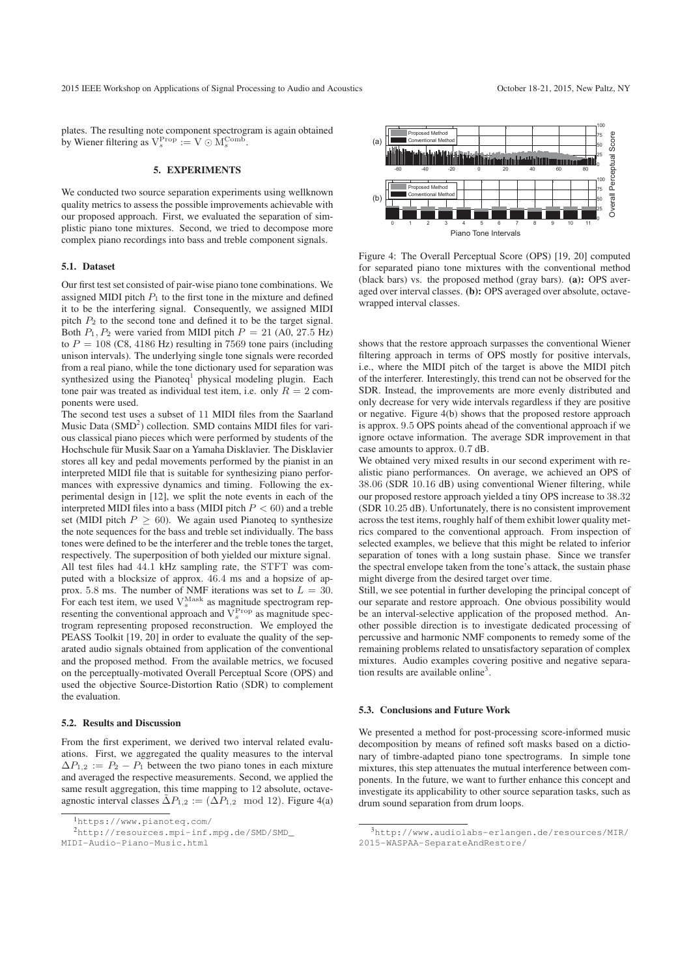2015 IEEE Workshop on Applications of Signal Processing to Audio and Acoustics October 18-21, 2015, New Paltz, NY

plates. The resulting note component spectrogram is again obtained by Wiener filtering as  $V_s^{\text{Prop}} := V \odot M_s^{\text{Comb}}$ .

# 5. EXPERIMENTS

We conducted two source separation experiments using wellknown quality metrics to assess the possible improvements achievable with our proposed approach. First, we evaluated the separation of simplistic piano tone mixtures. Second, we tried to decompose more complex piano recordings into bass and treble component signals.

#### 5.1. Dataset

Our first test set consisted of pair-wise piano tone combinations. We assigned MIDI pitch  $P_1$  to the first tone in the mixture and defined it to be the interfering signal. Consequently, we assigned MIDI pitch  $P_2$  to the second tone and defined it to be the target signal. Both  $P_1$ ,  $P_2$  were varied from MIDI pitch  $P = 21$  (A0, 27.5 Hz) to  $P = 108$  (C8, 4186 Hz) resulting in 7569 tone pairs (including unison intervals). The underlying single tone signals were recorded from a real piano, while the tone dictionary used for separation was synthesized using the Pianoteq<sup>1</sup> physical modeling plugin. Each tone pair was treated as individual test item, i.e. only  $R = 2$  components were used.

The second test uses a subset of 11 MIDI files from the Saarland Music Data  $(SMD<sup>2</sup>)$  collection. SMD contains MIDI files for various classical piano pieces which were performed by students of the Hochschule für Musik Saar on a Yamaha Disklavier. The Disklavier stores all key and pedal movements performed by the pianist in an interpreted MIDI file that is suitable for synthesizing piano performances with expressive dynamics and timing. Following the experimental design in [12], we split the note events in each of the interpreted MIDI files into a bass (MIDI pitch  $P < 60$ ) and a treble set (MIDI pitch  $P \geq 60$ ). We again used Pianoteq to synthesize the note sequences for the bass and treble set individually. The bass tones were defined to be the interferer and the treble tones the target, respectively. The superposition of both yielded our mixture signal. All test files had 44.1 kHz sampling rate, the STFT was computed with a blocksize of approx. 46.4 ms and a hopsize of approx. 5.8 ms. The number of NMF iterations was set to  $L = 30$ . For each test item, we used  $V_s^{\text{Mask}}$  as magnitude spectrogram representing the conventional approach and  $\overline{V}_s^{\text{Prop}}$  as magnitude spectrogram representing proposed reconstruction. We employed the PEASS Toolkit [19, 20] in order to evaluate the quality of the separated audio signals obtained from application of the conventional and the proposed method. From the available metrics, we focused on the perceptually-motivated Overall Perceptual Score (OPS) and used the objective Source-Distortion Ratio (SDR) to complement the evaluation.

# 5.2. Results and Discussion

From the first experiment, we derived two interval related evaluations. First, we aggregated the quality measures to the interval  $\Delta P_{1,2} := P_2 - P_1$  between the two piano tones in each mixture and averaged the respective measurements. Second, we applied the same result aggregation, this time mapping to 12 absolute, octaveagnostic interval classes  $\tilde{\Delta}P_{1,2} := (\Delta P_{1,2} \mod 12)$ . Figure 4(a)

<sup>2</sup>http://resources.mpi-inf.mpg.de/SMD/SMD\_ MIDI-Audio-Piano-Music.html



Figure 4: The Overall Perceptual Score (OPS) [19, 20] computed for separated piano tone mixtures with the conventional method (black bars) vs. the proposed method (gray bars). (a): OPS averaged over interval classes. (b): OPS averaged over absolute, octavewrapped interval classes.

shows that the restore approach surpasses the conventional Wiener filtering approach in terms of OPS mostly for positive intervals, i.e., where the MIDI pitch of the target is above the MIDI pitch of the interferer. Interestingly, this trend can not be observed for the SDR. Instead, the improvements are more evenly distributed and only decrease for very wide intervals regardless if they are positive or negative. Figure 4(b) shows that the proposed restore approach is approx. 9.5 OPS points ahead of the conventional approach if we ignore octave information. The average SDR improvement in that case amounts to approx. 0.7 dB.

We obtained very mixed results in our second experiment with realistic piano performances. On average, we achieved an OPS of 38.06 (SDR 10.16 dB) using conventional Wiener filtering, while our proposed restore approach yielded a tiny OPS increase to 38.32 (SDR 10.25 dB). Unfortunately, there is no consistent improvement across the test items, roughly half of them exhibit lower quality metrics compared to the conventional approach. From inspection of selected examples, we believe that this might be related to inferior separation of tones with a long sustain phase. Since we transfer the spectral envelope taken from the tone's attack, the sustain phase might diverge from the desired target over time.

Still, we see potential in further developing the principal concept of our separate and restore approach. One obvious possibility would be an interval-selective application of the proposed method. Another possible direction is to investigate dedicated processing of percussive and harmonic NMF components to remedy some of the remaining problems related to unsatisfactory separation of complex mixtures. Audio examples covering positive and negative separation results are available online<sup>3</sup>.

# 5.3. Conclusions and Future Work

We presented a method for post-processing score-informed music decomposition by means of refined soft masks based on a dictionary of timbre-adapted piano tone spectrograms. In simple tone mixtures, this step attenuates the mutual interference between components. In the future, we want to further enhance this concept and investigate its applicability to other source separation tasks, such as drum sound separation from drum loops.

<sup>1</sup>https://www.pianoteq.com/

<sup>3</sup>http://www.audiolabs-erlangen.de/resources/MIR/ 2015-WASPAA-SeparateAndRestore/